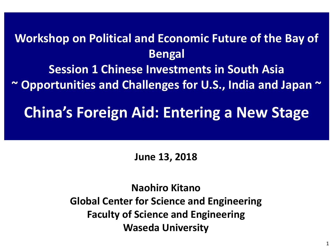## **Workshop on Political and Economic Future of the Bay of Bengal Session 1 Chinese Investments in South Asia ~ Opportunities and Challenges for U.S., India and Japan ~**

# **China's Foreign Aid: Entering a New Stage**

### **June 13, 2018**

**Naohiro Kitano Global Center for Science and Engineering Faculty of Science and Engineering Waseda University**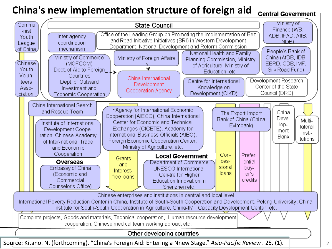#### **China's new implementation structure of foreign aid Central Government**

Ministry of Commu **State Council** Finance (WB, -nist Office of the Leading Group on Promoting the Implementation of Belt ADB, IFAD, AIIB, Inter-agency Youth and Road Initiative Initiatives (BRI) in Western Development NDB) coordination League Department, National Development and Reform Commission of China, mechanism People's Bank of National Health and Family China (AfDB, IDB, Ministry of Commerce Ministry of Foreign Affairs Planning Commission, Ministry Chinese (MOFCOM) EBRD, CDB, IMF, of Agriculture, Ministry of Dept. of Aid to Foreign\_ $\overline{\phantom{a}}$ Youth W Silk Road Fund) Education, etc. Volun-Countries China International Development Research Centre for International Dept. of Outward teers Development Center of the State Knowledge on Asso-Investment and Cooperation Agency Development.(CIKD) Council (DRC) ciation Economic Cooperation China International Search • Agency for International Economic and Rescue Team China The Export-Import Cooperation (AIECO), China International Deve-Bank of China (China Multi-Center for Economic and Technical Institute of International lop-Eximbank) lateral Exchanges (CICETE), Academy for Development Coopement Insti-International Business Officials (AIBO). ration, Chinese Academy Bank tutions Foreign Economic Cooperation Center, of Inter-national Trade Ministry of Agriculture, etc. and Economic Cooperation Con-Prefer-**Local Government** Grants **Overseas** cesential Department of Commerce and sional Embassy of China buy-UNESCO International Interestloans er's (Economic and Cen-tre for Higher free loans Commercial credits Education Innovation in Counselor's Office) Shenzhen etc Chinese enterprises and institutions in central and local level International Poverty Reduction Center in China, Institute of South-South Cooperation and Development, Peking University, China Institute for South-South Cooperation in Agriculture, China-IMF Capacity Development Center, etc. Complete projects, Goods and materials, Technical cooperation, Human resource development cooperation, Chinese medical team working abroad, etc. Other developing countries Source: Kitano. N. (forthcoming). "China's Foreign Aid: Entering a Nnew Stage." *Asia-Pacific Review* . 25. (1).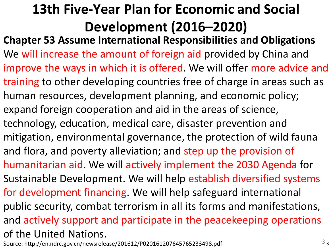# **13th Five-Year Plan for Economic and Social Development (2016–2020)**

**Chapter 53 Assume International Responsibilities and Obligations** We will increase the amount of foreign aid provided by China and improve the ways in which it is offered. We will offer more advice and training to other developing countries free of charge in areas such as human resources, development planning, and economic policy; expand foreign cooperation and aid in the areas of science, technology, education, medical care, disaster prevention and mitigation, environmental governance, the protection of wild fauna and flora, and poverty alleviation; and step up the provision of humanitarian aid. We will actively implement the 2030 Agenda for Sustainable Development. We will help establish diversified systems for development financing. We will help safeguard international public security, combat terrorism in all its forms and manifestations, and actively support and participate in the peacekeeping operations of the United Nations.

Source: http://en.ndrc.gov.cn/newsrelease/201612/P020161207645765233498.pdf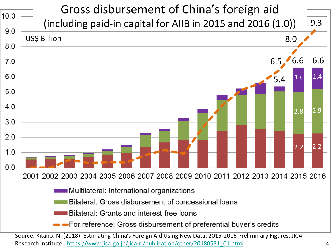

Research Institute. [https://www.jica.go.jp/jica-ri/publication/other/20180531\\_01.html](https://www.jica.go.jp/jica-ri/publication/other/20180531_01.html)